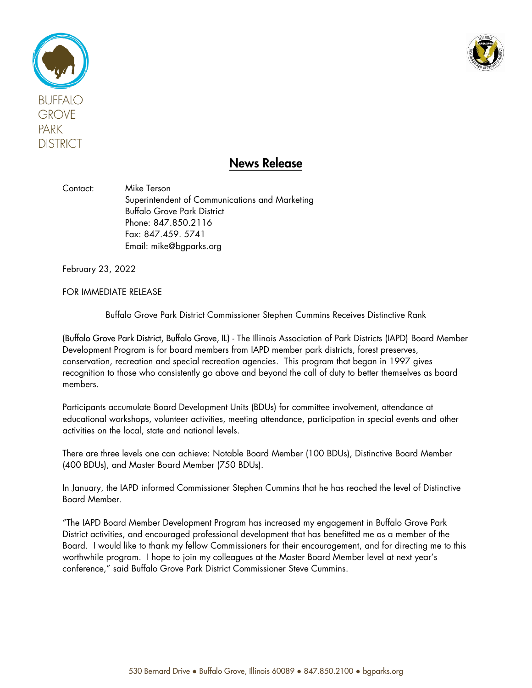



## News Release

Contact: Mike Terson Superintendent of Communications and Marketing Buffalo Grove Park District Phone: 847.850.2116 Fax: 847.459. 5741 Email: mike@bgparks.org

February 23, 2022

FOR IMMEDIATE RELEASE

Buffalo Grove Park District Commissioner Stephen Cummins Receives Distinctive Rank

(Buffalo Grove Park District, Buffalo Grove, IL) - The Illinois Association of Park Districts (IAPD) Board Member Development Program is for board members from IAPD member park districts, forest preserves, conservation, recreation and special recreation agencies. This program that began in 1997 gives recognition to those who consistently go above and beyond the call of duty to better themselves as board members.

Participants accumulate Board Development Units (BDUs) for committee involvement, attendance at educational workshops, volunteer activities, meeting attendance, participation in special events and other activities on the local, state and national levels.

There are three levels one can achieve: Notable Board Member (100 BDUs), Distinctive Board Member (400 BDUs), and Master Board Member (750 BDUs).

In January, the IAPD informed Commissioner Stephen Cummins that he has reached the level of Distinctive Board Member.

"The IAPD Board Member Development Program has increased my engagement in Buffalo Grove Park District activities, and encouraged professional development that has benefitted me as a member of the Board. I would like to thank my fellow Commissioners for their encouragement, and for directing me to this worthwhile program. I hope to join my colleagues at the Master Board Member level at next year's conference," said Buffalo Grove Park District Commissioner Steve Cummins.